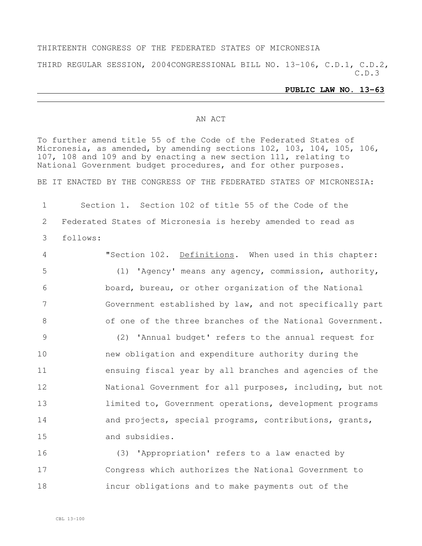#### THIRTEENTH CONGRESS OF THE FEDERATED STATES OF MICRONESIA

THIRD REGULAR SESSION, 2004CONGRESSIONAL BILL NO. 13-106, C.D.1, C.D.2, C.D.3

#### **PUBLIC LAW NO. 13-63**

#### AN ACT

To further amend title 55 of the Code of the Federated States of Micronesia, as amended, by amending sections 102, 103, 104, 105, 106, 107, 108 and 109 and by enacting a new section 111, relating to National Government budget procedures, and for other purposes.

BE IT ENACTED BY THE CONGRESS OF THE FEDERATED STATES OF MICRONESIA:

1 Section 1. Section 102 of title 55 of the Code of the 2 Federated States of Micronesia is hereby amended to read as 3 follows:

 "Section 102. Definitions. When used in this chapter: (1) 'Agency' means any agency, commission, authority, board, bureau, or other organization of the National Government established by law, and not specifically part of one of the three branches of the National Government. (2) 'Annual budget' refers to the annual request for

 new obligation and expenditure authority during the ensuing fiscal year by all branches and agencies of the National Government for all purposes, including, but not 13 limited to, Government operations, development programs 14 and projects, special programs, contributions, grants, and subsidies.

16 (3) 'Appropriation' refers to a law enacted by 17 Congress which authorizes the National Government to 18 incur obligations and to make payments out of the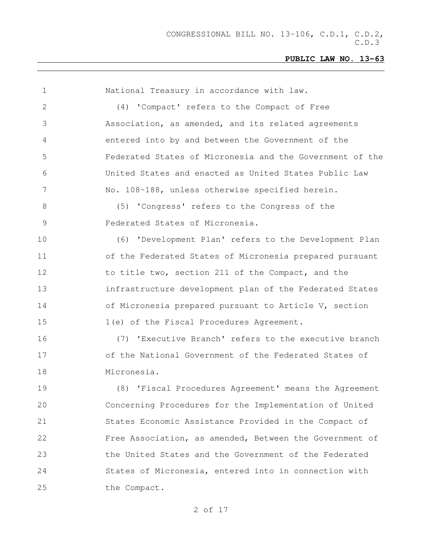| $\mathbf 1$    | National Treasury in accordance with law.                |
|----------------|----------------------------------------------------------|
| 2              | (4) 'Compact' refers to the Compact of Free              |
| 3              | Association, as amended, and its related agreements      |
| 4              | entered into by and between the Government of the        |
| 5              | Federated States of Micronesia and the Government of the |
| 6              | United States and enacted as United States Public Law    |
| $7\phantom{.}$ | No. 108-188, unless otherwise specified herein.          |
| 8              | (5) 'Congress' refers to the Congress of the             |
| 9              | Federated States of Micronesia.                          |
| 10             | (6) 'Development Plan' refers to the Development Plan    |
| 11             | of the Federated States of Micronesia prepared pursuant  |
| 12             | to title two, section 211 of the Compact, and the        |
| 13             | infrastructure development plan of the Federated States  |
| 14             | of Micronesia prepared pursuant to Article V, section    |
| 15             | 1(e) of the Fiscal Procedures Agreement.                 |
| 16             | (7) 'Executive Branch' refers to the executive branch    |
| 17             | of the National Government of the Federated States of    |
| 18             | Micronesia.                                              |
| 19             | (8) 'Fiscal Procedures Agreement' means the Agreement    |
| 20             | Concerning Procedures for the Implementation of United   |
| 21             | States Economic Assistance Provided in the Compact of    |
| 22             | Free Association, as amended, Between the Government of  |
| 23             | the United States and the Government of the Federated    |
| 24             | States of Micronesia, entered into in connection with    |
| 25             | the Compact.                                             |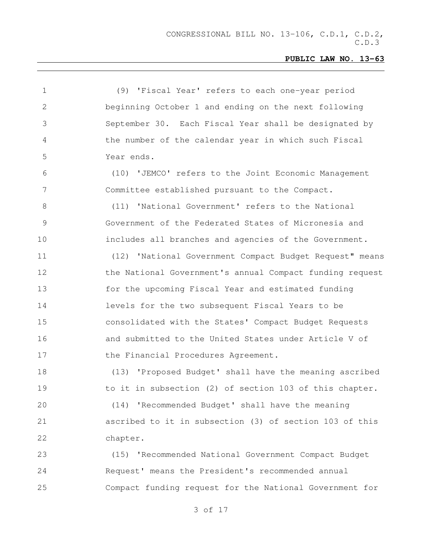| $\mathbf 1$  | (9) 'Fiscal Year' refers to each one-year period         |
|--------------|----------------------------------------------------------|
| $\mathbf{2}$ | beginning October 1 and ending on the next following     |
| 3            | September 30. Each Fiscal Year shall be designated by    |
| 4            | the number of the calendar year in which such Fiscal     |
| 5            | Year ends.                                               |
| 6            | (10) 'JEMCO' refers to the Joint Economic Management     |
| 7            | Committee established pursuant to the Compact.           |
| 8            | (11) 'National Government' refers to the National        |
| 9            | Government of the Federated States of Micronesia and     |
| 10           | includes all branches and agencies of the Government.    |
| 11           | (12) 'National Government Compact Budget Request" means  |
| 12           | the National Government's annual Compact funding request |
| 13           | for the upcoming Fiscal Year and estimated funding       |
| 14           | levels for the two subsequent Fiscal Years to be         |
| 15           | consolidated with the States' Compact Budget Requests    |
| 16           | and submitted to the United States under Article V of    |
| 17           | the Financial Procedures Agreement.                      |
| 18           | (13) 'Proposed Budget' shall have the meaning ascribed   |
| 19           | to it in subsection (2) of section 103 of this chapter.  |
| 20           | (14) 'Recommended Budget' shall have the meaning         |
| 21           | ascribed to it in subsection (3) of section 103 of this  |
| 22           | chapter.                                                 |
| 23           | (15) 'Recommended National Government Compact Budget     |
| 24           | Request' means the President's recommended annual        |
| 25           | Compact funding request for the National Government for  |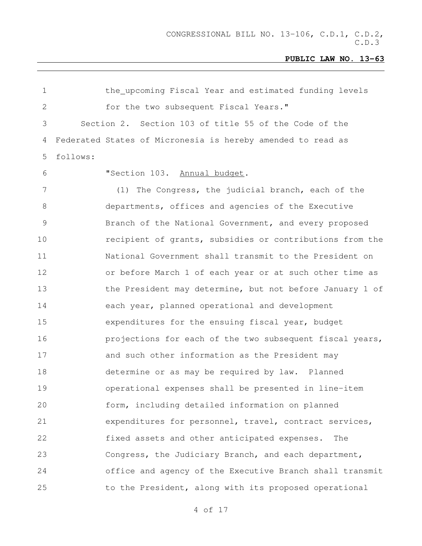the upcoming Fiscal Year and estimated funding levels for the two subsequent Fiscal Years." Section 2. Section 103 of title 55 of the Code of the Federated States of Micronesia is hereby amended to read as follows: "Section 103. Annual budget. (1) The Congress, the judicial branch, each of the departments, offices and agencies of the Executive 9 Branch of the National Government, and every proposed recipient of grants, subsidies or contributions from the National Government shall transmit to the President on or before March 1 of each year or at such other time as 13 the President may determine, but not before January 1 of each year, planned operational and development expenditures for the ensuing fiscal year, budget **projections for each of the two subsequent fiscal years,**  and such other information as the President may determine or as may be required by law. Planned operational expenses shall be presented in line-item form, including detailed information on planned expenditures for personnel, travel, contract services, fixed assets and other anticipated expenses. The Congress, the Judiciary Branch, and each department, office and agency of the Executive Branch shall transmit 25 to the President, along with its proposed operational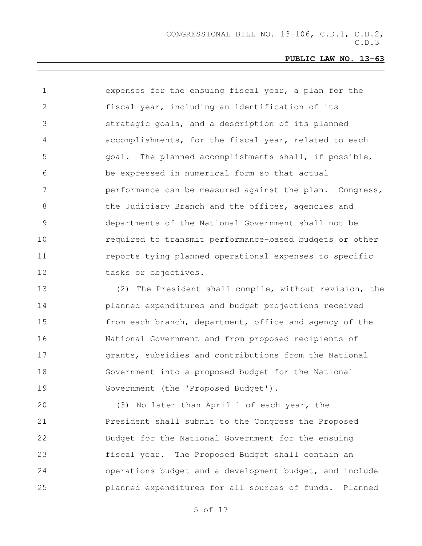expenses for the ensuing fiscal year, a plan for the fiscal year, including an identification of its strategic goals, and a description of its planned accomplishments, for the fiscal year, related to each goal. The planned accomplishments shall, if possible, be expressed in numerical form so that actual performance can be measured against the plan. Congress, 8 the Judiciary Branch and the offices, agencies and departments of the National Government shall not be required to transmit performance-based budgets or other **11** reports tying planned operational expenses to specific tasks or objectives.

 (2) The President shall compile, without revision, the planned expenditures and budget projections received from each branch, department, office and agency of the National Government and from proposed recipients of grants, subsidies and contributions from the National Government into a proposed budget for the National Government (the 'Proposed Budget').

 (3) No later than April 1 of each year, the President shall submit to the Congress the Proposed Budget for the National Government for the ensuing fiscal year. The Proposed Budget shall contain an operations budget and a development budget, and include planned expenditures for all sources of funds. Planned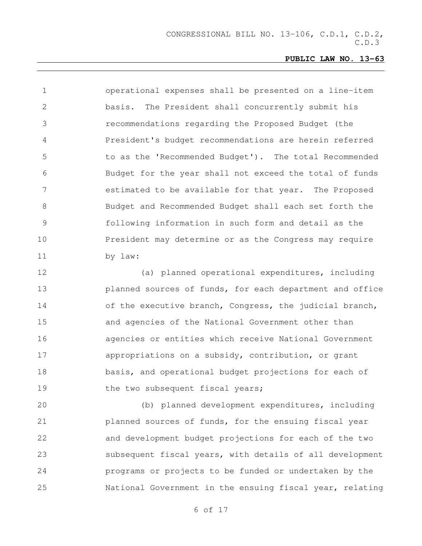operational expenses shall be presented on a line-item basis. The President shall concurrently submit his recommendations regarding the Proposed Budget (the President's budget recommendations are herein referred to as the 'Recommended Budget'). The total Recommended Budget for the year shall not exceed the total of funds estimated to be available for that year. The Proposed Budget and Recommended Budget shall each set forth the following information in such form and detail as the President may determine or as the Congress may require by law:

 (a) planned operational expenditures, including planned sources of funds, for each department and office 14 of the executive branch, Congress, the judicial branch, and agencies of the National Government other than agencies or entities which receive National Government appropriations on a subsidy, contribution, or grant basis, and operational budget projections for each of 19 the two subsequent fiscal years;

 (b) planned development expenditures, including planned sources of funds, for the ensuing fiscal year and development budget projections for each of the two subsequent fiscal years, with details of all development programs or projects to be funded or undertaken by the National Government in the ensuing fiscal year, relating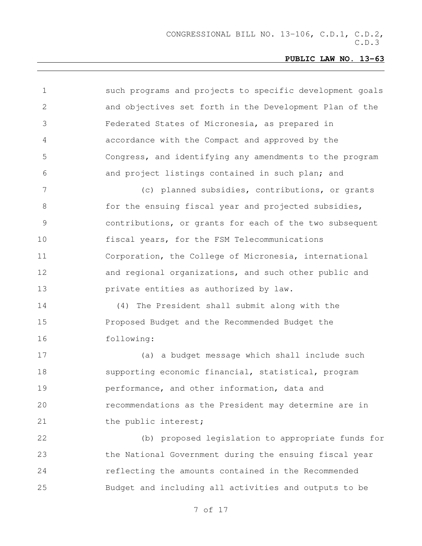| 1  | such programs and projects to specific development goals |
|----|----------------------------------------------------------|
| 2  | and objectives set forth in the Development Plan of the  |
| 3  | Federated States of Micronesia, as prepared in           |
| 4  | accordance with the Compact and approved by the          |
| 5  | Congress, and identifying any amendments to the program  |
| 6  | and project listings contained in such plan; and         |
| 7  | (c) planned subsidies, contributions, or grants          |
| 8  | for the ensuing fiscal year and projected subsidies,     |
| 9  | contributions, or grants for each of the two subsequent  |
| 10 | fiscal years, for the FSM Telecommunications             |
| 11 | Corporation, the College of Micronesia, international    |
| 12 | and regional organizations, and such other public and    |
| 13 | private entities as authorized by law.                   |
| 14 | (4) The President shall submit along with the            |
| 15 | Proposed Budget and the Recommended Budget the           |
| 16 | following:                                               |
| 17 | (a) a budget message which shall include such            |
| 18 | supporting economic financial, statistical, program      |
| 19 | performance, and other information, data and             |
| 20 | recommendations as the President may determine are in    |
| 21 | the public interest;                                     |
| 22 | (b) proposed legislation to appropriate funds for        |
| 23 | the National Government during the ensuing fiscal year   |
| 24 | reflecting the amounts contained in the Recommended      |
| 25 | Budget and including all activities and outputs to be    |
|    |                                                          |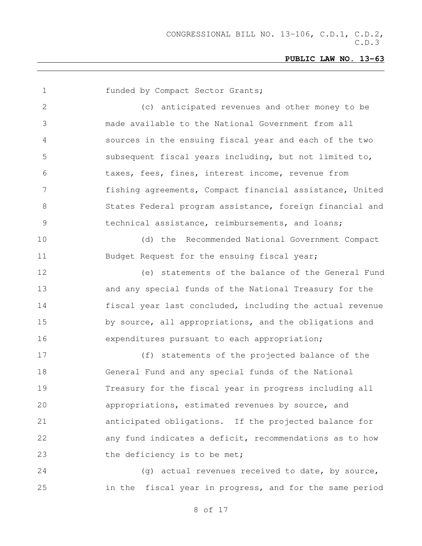| 1               | funded by Compact Sector Grants;                         |
|-----------------|----------------------------------------------------------|
| $\mathbf{2}$    | (c) anticipated revenues and other money to be           |
| 3               | made available to the National Government from all       |
| 4               | sources in the ensuing fiscal year and each of the two   |
| 5               | subsequent fiscal years including, but not limited to,   |
| 6               | taxes, fees, fines, interest income, revenue from        |
| $7\phantom{.0}$ | fishing agreements, Compact financial assistance, United |
| $\,8\,$         | States Federal program assistance, foreign financial and |
| $\mathsf 9$     | technical assistance, reimbursements, and loans;         |
| 10              | (d) the Recommended National Government Compact          |
| 11              | Budget Request for the ensuing fiscal year;              |
| 12              | (e) statements of the balance of the General Fund        |
| 13              | and any special funds of the National Treasury for the   |
| 14              | fiscal year last concluded, including the actual revenue |
| 15              | by source, all appropriations, and the obligations and   |
| 16              | expenditures pursuant to each appropriation;             |
| 17              | (f) statements of the projected balance of the           |
| 18              | General Fund and any special funds of the National       |
| 19              | Treasury for the fiscal year in progress including all   |
| 20              | appropriations, estimated revenues by source, and        |
| 21              | anticipated obligations. If the projected balance for    |
| 22              | any fund indicates a deficit, recommendations as to how  |
| 23              | the deficiency is to be met;                             |
| 24              | (g) actual revenues received to date, by source,         |
| 25              | in the fiscal year in progress, and for the same period  |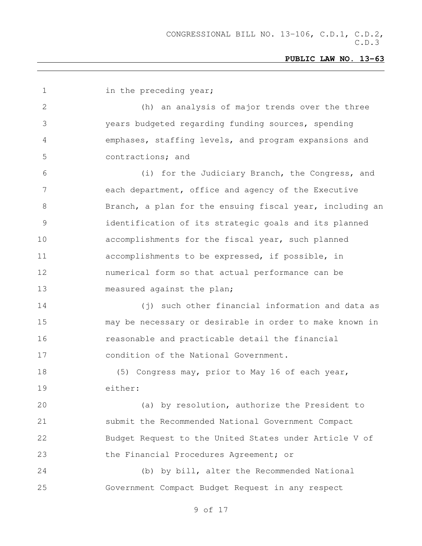| $\mathbf 1$    | in the preceding year;                                   |
|----------------|----------------------------------------------------------|
| 2              | (h) an analysis of major trends over the three           |
| 3              | years budgeted regarding funding sources, spending       |
| 4              | emphases, staffing levels, and program expansions and    |
| 5              | contractions; and                                        |
| 6              | (i) for the Judiciary Branch, the Congress, and          |
| $7\phantom{.}$ | each department, office and agency of the Executive      |
| 8              | Branch, a plan for the ensuing fiscal year, including an |
| $\mathcal{G}$  | identification of its strategic goals and its planned    |
| 10             | accomplishments for the fiscal year, such planned        |
| 11             | accomplishments to be expressed, if possible, in         |
| 12             | numerical form so that actual performance can be         |
| 13             | measured against the plan;                               |
| 14             | (j) such other financial information and data as         |
| 15             | may be necessary or desirable in order to make known in  |
| 16             | reasonable and practicable detail the financial          |
| 17             | condition of the National Government.                    |
| 18             | (5) Congress may, prior to May 16 of each year,          |
| 19             | either:                                                  |
| 20             | (a) by resolution, authorize the President to            |
| 21             | submit the Recommended National Government Compact       |
| 22             | Budget Request to the United States under Article V of   |
| 23             | the Financial Procedures Agreement; or                   |
| 24             | (b) by bill, alter the Recommended National              |
| 25             | Government Compact Budget Request in any respect         |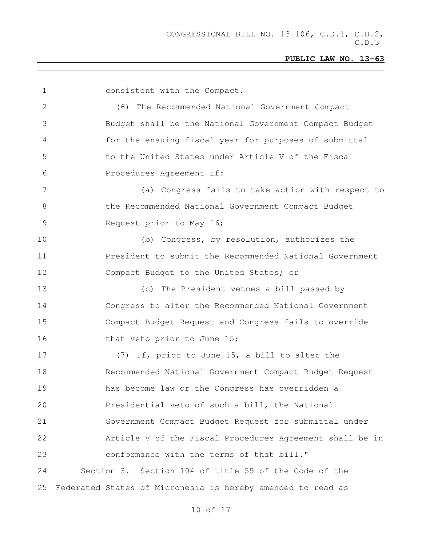| $\mathbf 1$ | consistent with the Compact.                                |
|-------------|-------------------------------------------------------------|
| 2           | (6) The Recommended National Government Compact             |
| 3           | Budget shall be the National Government Compact Budget      |
| 4           | for the ensuing fiscal year for purposes of submittal       |
| 5           | to the United States under Article V of the Fiscal          |
| 6           | Procedures Agreement if:                                    |
| 7           | (a) Congress fails to take action with respect to           |
| 8           | the Recommended National Government Compact Budget          |
| 9           | Request prior to May 16;                                    |
| 10          | (b) Congress, by resolution, authorizes the                 |
| 11          | President to submit the Recommended National Government     |
| 12          | Compact Budget to the United States; or                     |
| 13          | (c) The President vetoes a bill passed by                   |
| 14          | Congress to alter the Recommended National Government       |
| 15          | Compact Budget Request and Congress fails to override       |
| 16          | that veto prior to June 15;                                 |
| 17          | (7) If, prior to June 15, a bill to alter the               |
| 18          | Recommended National Government Compact Budget Request      |
| 19          | has become law or the Congress has overridden a             |
| 20          | Presidential veto of such a bill, the National              |
| 21          | Government Compact Budget Request for submittal under       |
| 22          | Article V of the Fiscal Procedures Agreement shall be in    |
| 23          | conformance with the terms of that bill."                   |
| 24          | Section 3. Section 104 of title 55 of the Code of the       |
| 25          | Federated States of Micronesia is hereby amended to read as |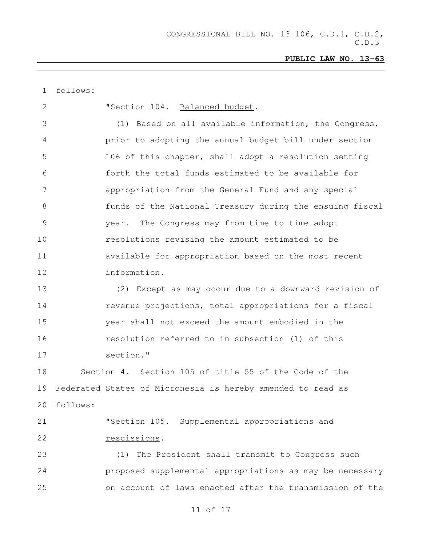| 1  | follows: |                                                                |
|----|----------|----------------------------------------------------------------|
| 2  |          | "Section 104. Balanced budget.                                 |
| 3  |          | (1) Based on all available information, the Congress,          |
| 4  |          | prior to adopting the annual budget bill under section         |
| 5  |          | 106 of this chapter, shall adopt a resolution setting          |
| 6  |          | forth the total funds estimated to be available for            |
| 7  |          | appropriation from the General Fund and any special            |
| 8  |          | funds of the National Treasury during the ensuing fiscal       |
| 9  |          | year. The Congress may from time to time adopt                 |
| 10 |          | resolutions revising the amount estimated to be                |
| 11 |          | available for appropriation based on the most recent           |
| 12 |          | information.                                                   |
| 13 |          | (2) Except as may occur due to a downward revision of          |
| 14 |          | revenue projections, total appropriations for a fiscal         |
| 15 |          | year shall not exceed the amount embodied in the               |
| 16 |          | resolution referred to in subsection (1) of this               |
| 17 |          | section."                                                      |
| 18 |          | Section 4. Section 105 of title 55 of the Code of the          |
|    |          | 19 Federated States of Micronesia is hereby amended to read as |
| 20 | follows: |                                                                |
| 21 |          | "Section 105. Supplemental appropriations and                  |
| 22 |          | rescissions.                                                   |
| 23 |          | (1) The President shall transmit to Congress such              |
| 24 |          | proposed supplemental appropriations as may be necessary       |
| 25 |          | on account of laws enacted after the transmission of the       |
|    |          |                                                                |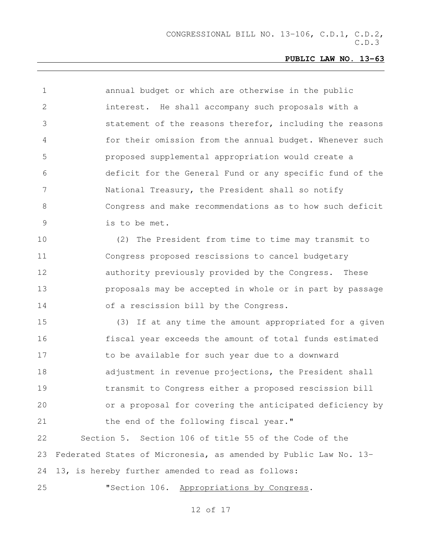| $\mathbf 1$    | annual budget or which are otherwise in the public               |
|----------------|------------------------------------------------------------------|
| $\overline{2}$ | interest. He shall accompany such proposals with a               |
| 3              | statement of the reasons therefor, including the reasons         |
| 4              | for their omission from the annual budget. Whenever such         |
| 5              | proposed supplemental appropriation would create a               |
| 6              | deficit for the General Fund or any specific fund of the         |
| 7              | National Treasury, the President shall so notify                 |
| 8              | Congress and make recommendations as to how such deficit         |
| 9              | is to be met.                                                    |
| 10             | (2) The President from time to time may transmit to              |
| 11             | Congress proposed rescissions to cancel budgetary                |
| 12             | authority previously provided by the Congress. These             |
| 13             | proposals may be accepted in whole or in part by passage         |
| 14             | of a rescission bill by the Congress.                            |
| 15             | (3) If at any time the amount appropriated for a given           |
| 16             | fiscal year exceeds the amount of total funds estimated          |
| 17             | to be available for such year due to a downward                  |
| 18             | adjustment in revenue projections, the President shall           |
| 19             | transmit to Congress either a proposed rescission bill           |
| 20             | or a proposal for covering the anticipated deficiency by         |
| 21             | the end of the following fiscal year."                           |
| 22             | Section 5. Section 106 of title 55 of the Code of the            |
| 23             | Federated States of Micronesia, as amended by Public Law No. 13- |
| 24             | 13, is hereby further amended to read as follows:                |
| 25             | "Section 106.<br>Appropriations by Congress.                     |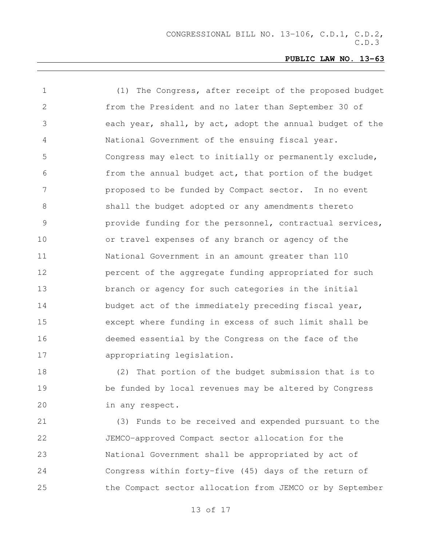| $\mathbf 1$    | (1) The Congress, after receipt of the proposed budget   |
|----------------|----------------------------------------------------------|
| 2              | from the President and no later than September 30 of     |
| 3              | each year, shall, by act, adopt the annual budget of the |
| $\overline{4}$ | National Government of the ensuing fiscal year.          |
| 5              | Congress may elect to initially or permanently exclude,  |
| 6              | from the annual budget act, that portion of the budget   |
| 7              | proposed to be funded by Compact sector. In no event     |
| 8              | shall the budget adopted or any amendments thereto       |
| 9              | provide funding for the personnel, contractual services, |
| 10             | or travel expenses of any branch or agency of the        |
| 11             | National Government in an amount greater than 110        |
| 12             | percent of the aggregate funding appropriated for such   |
| 13             | branch or agency for such categories in the initial      |
| 14             | budget act of the immediately preceding fiscal year,     |
| 15             | except where funding in excess of such limit shall be    |
| 16             | deemed essential by the Congress on the face of the      |
| 17             | appropriating legislation.                               |
|                |                                                          |

 (2) That portion of the budget submission that is to be funded by local revenues may be altered by Congress in any respect.

 (3) Funds to be received and expended pursuant to the JEMCO-approved Compact sector allocation for the National Government shall be appropriated by act of Congress within forty-five (45) days of the return of the Compact sector allocation from JEMCO or by September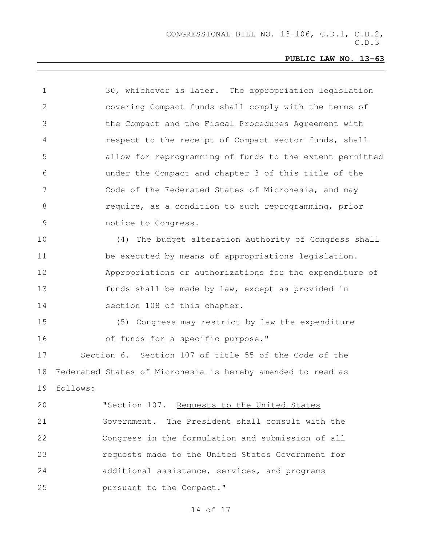| $\mathbf 1$     | 30, whichever is later. The appropriation legislation       |
|-----------------|-------------------------------------------------------------|
| 2               | covering Compact funds shall comply with the terms of       |
| 3               | the Compact and the Fiscal Procedures Agreement with        |
| 4               | respect to the receipt of Compact sector funds, shall       |
| 5               | allow for reprogramming of funds to the extent permitted    |
| 6               | under the Compact and chapter 3 of this title of the        |
| $7\phantom{.0}$ | Code of the Federated States of Micronesia, and may         |
| 8               | require, as a condition to such reprogramming, prior        |
| $\mathcal{G}$   | notice to Congress.                                         |
| 10              | (4) The budget alteration authority of Congress shall       |
| 11              | be executed by means of appropriations legislation.         |
| 12              | Appropriations or authorizations for the expenditure of     |
| 13              | funds shall be made by law, except as provided in           |
| 14              | section 108 of this chapter.                                |
| 15              | (5) Congress may restrict by law the expenditure            |
| 16              | of funds for a specific purpose."                           |
| 17              | Section 6. Section 107 of title 55 of the Code of the       |
| 18              | Federated States of Micronesia is hereby amended to read as |
| 19              | follows:                                                    |
| 20              | "Section 107. Requests to the United States                 |
| 21              | Government. The President shall consult with the            |
| 22              | Congress in the formulation and submission of all           |
| 23              | requests made to the United States Government for           |
| 24              | additional assistance, services, and programs               |
| 25              | pursuant to the Compact."                                   |
|                 |                                                             |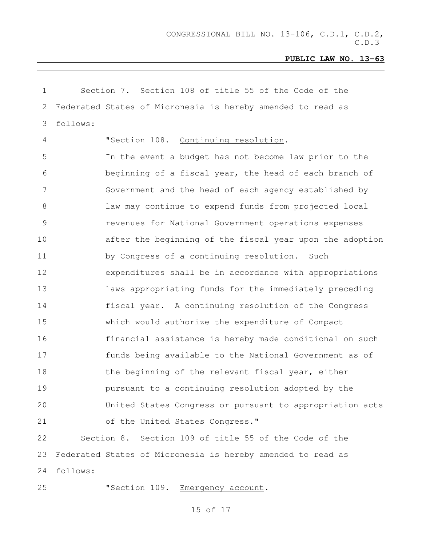| $\mathbf 1$ | Section 7. Section 108 of title 55 of the Code of the       |
|-------------|-------------------------------------------------------------|
| 2           | Federated States of Micronesia is hereby amended to read as |
| 3           | follows:                                                    |
| 4           | "Section 108. Continuing resolution.                        |
| 5           | In the event a budget has not become law prior to the       |
| 6           | beginning of a fiscal year, the head of each branch of      |
| 7           | Government and the head of each agency established by       |
| $8\,$       | law may continue to expend funds from projected local       |
| $\mathsf 9$ | revenues for National Government operations expenses        |
| 10          | after the beginning of the fiscal year upon the adoption    |
| 11          | by Congress of a continuing resolution. Such                |
| 12          | expenditures shall be in accordance with appropriations     |
| 13          | laws appropriating funds for the immediately preceding      |
| 14          | fiscal year. A continuing resolution of the Congress        |
| 15          | which would authorize the expenditure of Compact            |
| 16          | financial assistance is hereby made conditional on such     |
| 17          | funds being available to the National Government as of      |
| 18          | the beginning of the relevant fiscal year, either           |
| 19          | pursuant to a continuing resolution adopted by the          |
| 20          | United States Congress or pursuant to appropriation acts    |
| 21          | of the United States Congress."                             |
| 22          | Section 8. Section 109 of title 55 of the Code of the       |
| 23          | Federated States of Micronesia is hereby amended to read as |
| 24          | follows:                                                    |
| 25          | "Section 109. Emergency account.                            |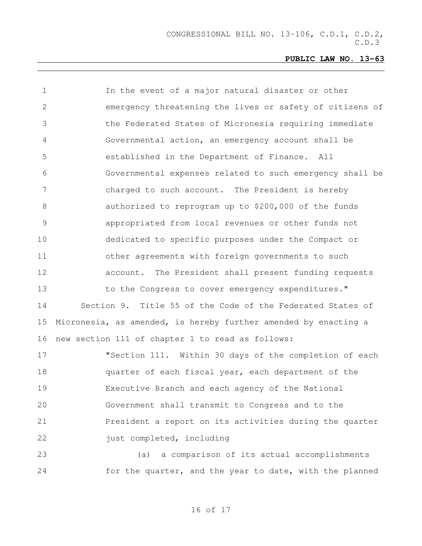| $\mathbf 1$ | In the event of a major natural disaster or other               |
|-------------|-----------------------------------------------------------------|
| 2           | emergency threatening the lives or safety of citizens of        |
| 3           | the Federated States of Micronesia requiring immediate          |
| 4           | Governmental action, an emergency account shall be              |
| 5           | established in the Department of Finance. All                   |
| 6           | Governmental expenses related to such emergency shall be        |
| 7           | charged to such account. The President is hereby                |
| 8           | authorized to reprogram up to \$200,000 of the funds            |
| $\mathsf 9$ | appropriated from local revenues or other funds not             |
| 10          | dedicated to specific purposes under the Compact or             |
| 11          | other agreements with foreign governments to such               |
| 12          | account. The President shall present funding requests           |
| 13          | to the Congress to cover emergency expenditures."               |
| 14          | Section 9. Title 55 of the Code of the Federated States of      |
| 15          | Micronesia, as amended, is hereby further amended by enacting a |
| 16          | new section 111 of chapter 1 to read as follows:                |
| 17          | "Section 111. Within 30 days of the completion of each          |
| 18          | quarter of each fiscal year, each department of the             |
| 19          | Executive Branch and each agency of the National                |
| 20          | Government shall transmit to Congress and to the                |
| 21          | President a report on its activities during the quarter         |
| 22          | just completed, including                                       |
| 23          | a comparison of its actual accomplishments<br>(a)               |
| 24          | for the quarter, and the year to date, with the planned         |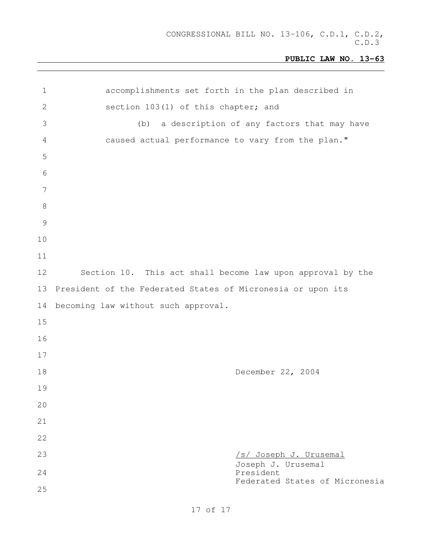| $\mathbf 1$     | accomplishments set forth in the plan described in          |
|-----------------|-------------------------------------------------------------|
| $\mathbf{2}$    | section 103(1) of this chapter; and                         |
| 3               | a description of any factors that may have<br>(b)           |
| 4               | caused actual performance to vary from the plan."           |
| 5               |                                                             |
| 6               |                                                             |
| $7\phantom{.0}$ |                                                             |
| $8\,$           |                                                             |
| $\mathcal{G}$   |                                                             |
| 10              |                                                             |
| 11              |                                                             |
| 12              | Section 10. This act shall become law upon approval by the  |
| 13              | President of the Federated States of Micronesia or upon its |
| 14              | becoming law without such approval.                         |
| 15              |                                                             |
| 16              |                                                             |
| 17              |                                                             |
| 18              | December 22, 2004                                           |
| 19              |                                                             |
| 20              |                                                             |
| 21              |                                                             |
| 22              |                                                             |
| 23              | /s/ Joseph J. Urusemal<br>Joseph J. Urusemal                |
| 24              | President<br>Federated States of Micronesia                 |
| 25              |                                                             |